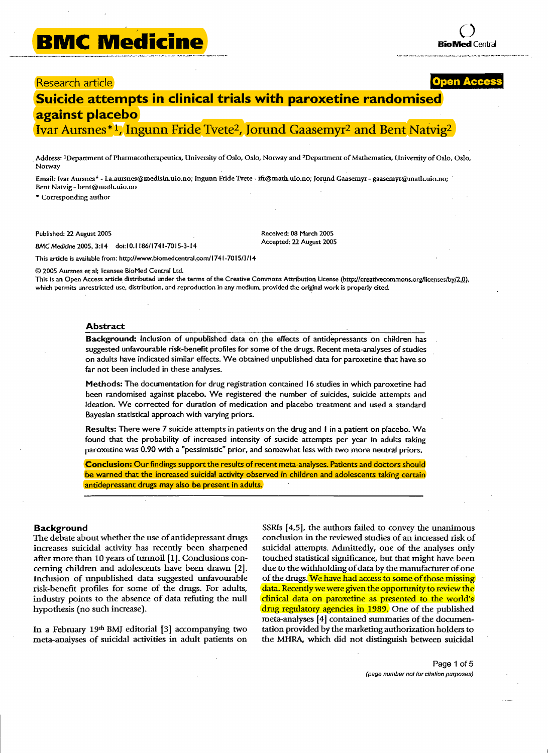# .. () **BMC Medicine BioMed** Central

# **Suicide attempts in clinical trials with paroxetine randomised against placebo**

Ivar Aursnes\* I, Ingunn Pride Tvete2, Jorund Gaasemyr2 and Bent Natvig2

Address: <sup>1</sup>Department of Pharmacotherapeutics, University of Oslo, Oslo, Norway and <sup>2</sup>Department of Mathematics, University of Oslo, Oslo, Norway

Email: Ivar Aursnes\* - i.a.aursnes@medisin.uio.no; Ingunn Fride Tvete - ift@math.uio.no; Jorund Gaasemyr-gaasemyr@math.uio.no; Bent Natvig - bent@math.uio.no

\* Corresponding author

Published: 22 August 2005<br>
Received: 08 March 2005<br>
Accepted: 22 August 2005

BMC Medicine 2005, 3:14 doi:10.1186/1741-7015-3-14

This article is available from: http://www.biomedcentral.com/1741-7015f3/14

© 2005 Aursnes et al; licensee BioMed Central Ltd.

This is an Open Access article distributed under the terms of the Creative Commons Attribution License (http://creativecommons.org/licenses/by/2.0), which permits unrestricted use, distribution, and reproduction in any medium, provided the original work *is* properly cited.

# Abstract

Background: Inclusion of unpublished data on the effects of antidepressants on children has suggested unfavourable risk-benefit profiles for some of the drugs. Recent meta-analyses of studies on adults have indicated similar effects. We obtained unpublished data for paroxetine that have.so far not been included in these analyses.

Methods: The documentation for drug registration contained 16 studies in which paroxetine had been randomised against placebo. We registered the number of suicides, suicide attempts and ideation. We corrected for duration of medication and placebo treatment and used a standard Bayesian statistical approach with varying priors.

Results: There were 7 suicide attempts in patients on the drug and I in a patient on placebo. We found that the probability of increased intensity of suicide attempts per year in adults taking paroxetine was 0.90 with a "pessimistic" prior, and somewhat less with two more neutral priors.

Conclusion: Our findings support the results of recent meta-analyses. Patients and doctors should be warned that the increased suicidal activity observed in children and adolescents taking certain antidepressant drugs may also be present in adults.

# **Background**

The debate about whether the use of antidepressant drugs increases suicidal activity has recently been sharpened after more than 10 years of turmoil [1]. Conclusions concerning children and adolescents have been drawn [2]. Inclusion of unpublished data suggested unfavourable risk-benefit profiles for some of the drugs. For adults, industry points to the absence of data refuting the null hypothesis (no such increase).

In a February 19th BMJ editorial [3] accompanying two meta-analyses of suicidal activities in adult patients on SSRIs [4,5], the authors failed to convey the unanimous conclusion in the reviewed studies of an increased risk of suicidal attempts. Admittedly, one of the analyses only touched statistical significance, but that might have been due to the withholding of data by the manufacturer of one of the drugs. We have had access to some of those missing data. Recently we were given the opportunity to review the clinical data on paroxetine as presented to the world's drug regulatory agencies in 1989. One of the published meta-analyses [4] contained summaries of the documentation provided by the marketing authorization holders to the MHRA. which did not distinguish between suicidal

> Page 1 of 5 (page number not for citation purposes)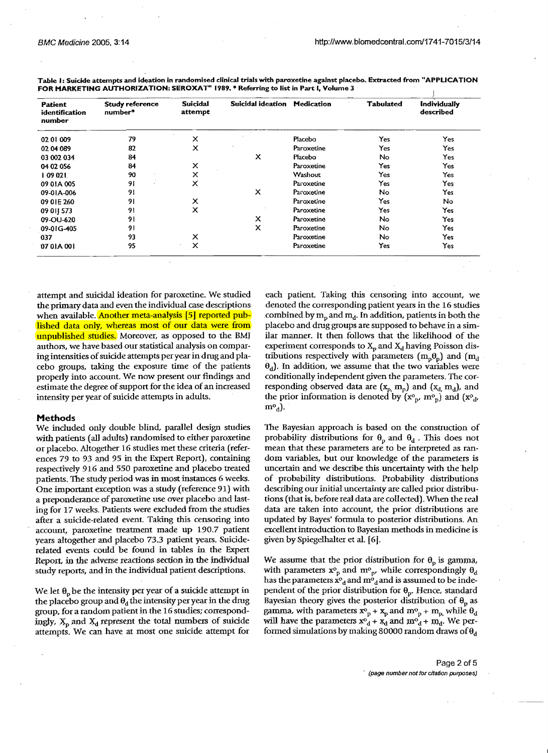| Patient<br>identification<br>number | <b>Study reference</b><br>number* | <b>Suicidal</b><br>attempt | Suicidal ideation Medication |            | Tabulated | <b>Individually</b><br>described |
|-------------------------------------|-----------------------------------|----------------------------|------------------------------|------------|-----------|----------------------------------|
| 02 01 009                           | 79                                | x                          |                              | Placebo    | Yes       | Yes                              |
| 02 04 089                           | 82                                | X                          |                              | Paroxetine | Yes.      | Yes.                             |
| 03 002 034                          | 84                                |                            | x                            | Placebo    | No        | Yes.                             |
| 04 02 056                           | 84                                | X                          |                              | Paroxetine | Yes       | Yes                              |
| 109021                              | 90                                | X                          |                              | Washout    | Yes       | Yes                              |
| 09 01A 005                          | 91                                | ×                          |                              | Paroxetine | Yes:      | Yes:                             |
| 09-01A-006                          | 91                                |                            | х                            | Paroxetine | No        | Yes.                             |
| 09 01E 260                          | 91                                | x                          |                              | Paroxetine | Yes       | No                               |
| 09 011 573                          | 91                                | x                          |                              | Paroxetine | Yes.      | Yes                              |
| 09-OU-620                           | 91                                |                            | x                            | Paroxetine | No        | Yes                              |
| 09-01G-405                          | 91                                |                            | x                            | Paroxetine | No        | Yes                              |
| 037                                 | 93                                | x                          |                              | Paroxetine | No        | Yes                              |
| 07 01 A 001                         | 95                                | X                          |                              | Paroxetine | Yes       | Yes                              |

Table 1: Suicide attempts and ideation in randomised clinical trials with paroxetine against placebo. Extracted from "APPLICATION FOR MARKETING AUTHORIZATION: SEROXAr' 1989. \* Referring to list in Part I, Volume 3

attempt and suicidal ideation for paroxetine. We studied the primarydata and even the individual case descriptions when available. Another meta-analysis [5] reported published data only, whereas most of our data were from unpublished studies. Moreover, as opposed to the BMJ authors, we have based our statistical analysis on comparing intensities of suicide attempts per year in drug and placebo groups, taking the exposure time of the patients properly into account. We now present our findings and estimate the degree of support for the idea of an increased intensity per year of suicide attempts in adults.

#### Methods

We included only double blind, parallel design studies with patients (all adults) randomised to either paroxetine or placebo. Altogether 16 studies met these criteria (references 79 to 93 and 95 in the Expert Report), containing respectively 916 and 550 paroxetine and placebo treated patients. The study period was in most instances 6 weeks. One important exception was a study (reference 91) with a preponderance of paroxetine use over placebo and lasting for 17 weeks. Patients were excluded from the studies after a suicide-related event. Taking this censoring into account, paroxetine treatment made up 190.7 patient years altogether and placebo 73.3 patient years. Suiciderelated events could be found in tables in the Expert Report, in the adverse reactions section in the individual study reports, and in the individual patient descriptions.

We let  $\theta_p$  be the intensity per year of a suicide attempt in the placebo group and  $\theta_d$  the intensity per year in the drug group, for a random patient jn the 16 studies; correspondingly,  $X_p$  and  $X_d$  represent the total numbers of suicide attempts. We can have at most one suidde attempt for each patient. Taking this censoring into account, we denoted the corresponding patient years in the 16 studies combined by  $m_p$  and  $m_d$ . In addition, patients in both the placebo and drug groups are supposed to behave in a similar manner. It then follows that the likelihood of the experiment corresponds to  $X_p$  and  $X_d$  having Poisson distributions respectively with parameters  $(m_p \theta_p)$  and  $(m_d$  $\theta_d$ ). In addition, we assume that the two variables were conditionally independent given the parameters. The corresponding observed data are  $(x_p, m_p)$  and  $(x_d, m_d)$ , and the prior information is denoted by  $(x_0, m_0)$  and  $(x_0)$  $m<sub>a</sub>$ ).

The Bayesian approach is based on the construction of probability distributions for  $\theta_p$  and  $\theta_d$ . This does not mean that these parameters are to be interpreted as random variables, but our knowledge of the parameters is uncertain and we describe this uncertainty with the help of probability distributions. Probability distributions describing our initial uncertainty are called prior distributions (that is, before real data are collected). When the real data are taken into account, the prior distributions are updated by Bayes' formula to posterior distributions. An excellent introduction to Bayesian methods in medidne is given by Spiegelhalter et al. [6).

We assume that the prior distribution for  $\theta_p$  is gamma, with parameters  $x_{p}^{o}$  and  $m_{p'}^{o}$  while correspondingly  $\theta_{d}$ has the parameters  $\mathbf{x}^{\circ}$  and  $\mathbf{m}^{\circ}$  and is assumed to be independent of the prior distribution for  $\theta_{\rm p}$ . Hence, standard Bayesian theory gives the posterior distribution of  $\theta_p$  as gamma, with parameters  $x_{p}^{0} + x_{p}$  and  $m_{p}^{0} + m_{p}$  while  $\theta_{d}$ . will have the parameters  $x_0^0 + x_0$  and  $m_0^0 + m_0$ . We performed simulations by making 80000 random draws of  $\theta_d$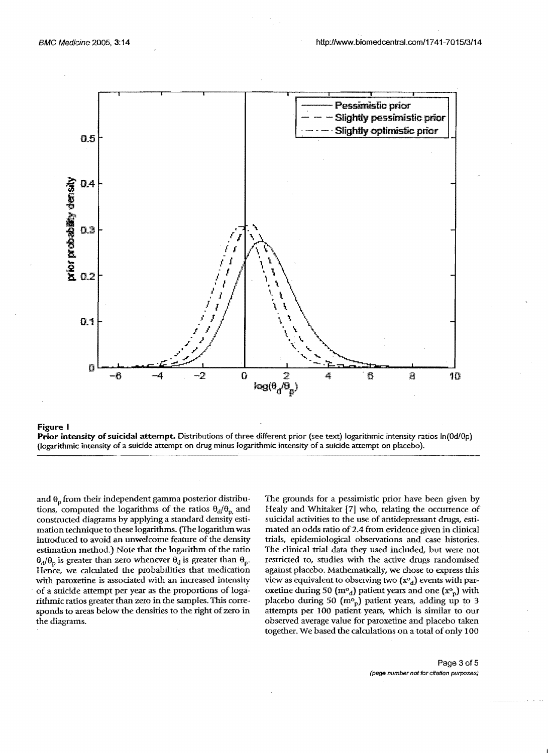



and  $\theta_p$  from their independent gamma posterior distributions, computed the logarithms of the ratios  $\theta_d/\theta_p$  and constructed diagrams by applying a standard density estimation technique to these logarithms. (The logarithm was introduced to avoid an unwelcome feature of the density estimation method.) Note that the logarithm of the ratio  $\theta_d/\theta_p$  is greater than zero whenever  $\theta_d$  is greater than  $\theta_p$ . Hence, we calculated the probabilities that medication with paroxetine is associated with an increased intensity of a suicide attempt per year as the proportions of logarithmic ratios greater than zero in the samples. This corresponds to areas below the densities to the right of zero in the diagrams.

The grounds for a pessimistic prior have been given by Healy and Whitaker [7] who, relating the occurrence of suicidal activities to the use of antidepressant drugs, estimated an odds ratio of 2.4 from evidence given in clinical trials, epidemiological observations and case histories. The clinical trial data they used included, but were not restricted to, studies with the active drugs randomised against placebo; Mathematically, we chose to express this view as equivalent to observing two  $(x<sup>o</sup><sub>d</sub>)$  events with paroxetine during 50  $(m<sup>o</sup><sub>d</sub>)$  patient years and one  $(x<sup>o</sup><sub>n</sub>)$  with placebo during 50  $(m<sup>o</sup><sub>p</sub>)$  patient years, adding up to 3 attempts per 100 patient years, which is similar to our observed average value for paroxetine and placebo taken together. We based the calculations on a total of only 100

> Page 3 of 5 (page number not for citation purposes)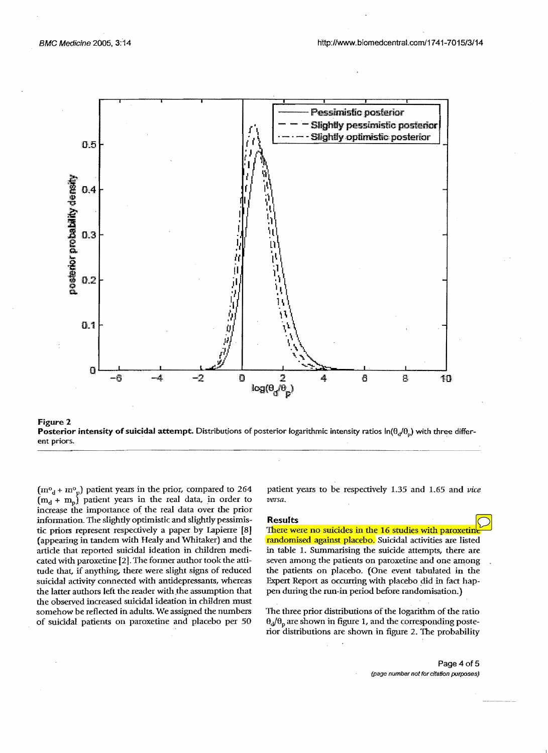



 $(m<sup>o</sup><sub>d</sub> + m<sup>o</sup><sub>p</sub>)$  patient years in the prior, compared to 264  $(m_d + m_p)$  patient years in the real data, in order to increase the importance of the real data over the prior information. The slightly optimistic and slightly pessimistic priors represent respectively a paper by Lapierre [8] (appearing in tandem with Healy and Whitaker) and the article that reported suicidal ideation in children medicated with paroxetine [2]. The former author took the attitude that, if anything, there were slight signs of reduced suicidal activity connected with antidepressants, whereas the latter authors left the reader with the assumption that the observed increased suicidal ideation in children must somehow be reflected in adults. We assigned the numbers of suicidal patients on paroxetine and placebo per 50

patient years to be respectively 1.35 and 1.65 and *vice versa.* 

# **Results**

There were no suicides in the 16 studies with paroxetin randomised against placebo. Suicidal activities are listed in table 1. Summarising the suicide attempts, there are seven among the patients on paroxetine and one among the patients on placebo. (One event tabulated in the Expert Report as occurring with placebo did in fact happen during the run-in period before randomisation.)

The three prior distributions of the logarithm of the ratio  $\theta_d/\theta_p$  are shown in figure 1, and the corresponding posterior distributions are shown in figure 2. The probability